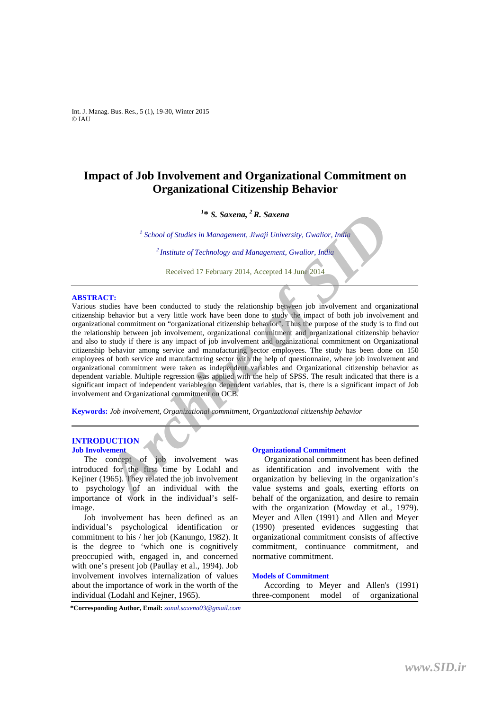Int. J. Manag. Bus. Res., 5 (1), 19-30, Winter 2015 © IAU

# **Impact of Job Involvement and Organizational Commitment on Organizational Citizenship Behavior**

# *1* **\*** *S. Saxena, 2 R. Saxena*

<sup>1</sup> School of Studies in Management, Jiwaji University, Gwalior, India *2 Institute of Technology and Management, Gwalior, India* 

Received 17 February 2014, Accepted 14 June 2014 

#### **ABSTRACT:**

Various studies have been conducted to study the relationship between job involvement and organizational citizenship behavior but a very little work have been done to study the impact of both job involvement and organizational commitment on "organizational citizenship behavior". Thus the purpose of the study is to find out the relationship between job involvement, organizational commitment and organizational citizenship behavior and also to study if there is any impact of job involvement and organizational commitment on Organizational citizenship behavior among service and manufacturing sector employees. The study has been done on 150 employees of both service and manufacturing sector with the help of questionnaire, where job involvement and organizational commitment were taken as independent variables and Organizational citizenship behavior as dependent variable. Multiple regression was applied with the help of SPSS. The result indicated that there is a significant impact of independent variables on dependent variables, that is, there is a significant impact of Job involvement and Organizational commitment on OCB. <sup>2</sup>*S. Saxena,*<sup>2</sup>*R. Saxena,*<sup>2</sup>*R. Saxena*<br><sup>2</sup>*School of Studies in Management, Jiwaji University, Gwalior, India<br><sup>2</sup><i>Institute of Technology and Management, Gwalior, India*<br><sup>2</sup>*Received 17 February 2014, Accepted 14 Jun* 

**Keywords:** *Job involvement, Organizational commitment, Organizational citizenship behavior* 

#### **INTRODUCTION Job Involvement**

The concept of job involvement was introduced for the first time by Lodahl and Kejiner (1965). They related the job involvement to psychology of an individual with the importance of work in the individual's selfimage.

Job involvement has been defined as an individual's psychological identification or commitment to his / her job (Kanungo, 1982). It is the degree to 'which one is cognitively preoccupied with, engaged in, and concerned with one's present job (Paullay et al., 1994). Job involvement involves internalization of values about the importance of work in the worth of the individual (Lodahl and Kejner, 1965).

# **Organizational Commitment**

Organizational commitment has been defined as identification and involvement with the organization by believing in the organization's value systems and goals, exerting efforts on behalf of the organization, and desire to remain with the organization (Mowday et al., 1979). Meyer and Allen (1991) and Allen and Meyer (1990) presented evidences suggesting that organizational commitment consists of affective commitment, continuance commitment, and normative commitment.

#### **Models of Commitment**

| According to Meyer and Allen's (1991) |  |                         |  |
|---------------------------------------|--|-------------------------|--|
| three-component                       |  | model of organizational |  |

**\*Corresponding Author, Email:** *sonal.saxena03@gmail.com*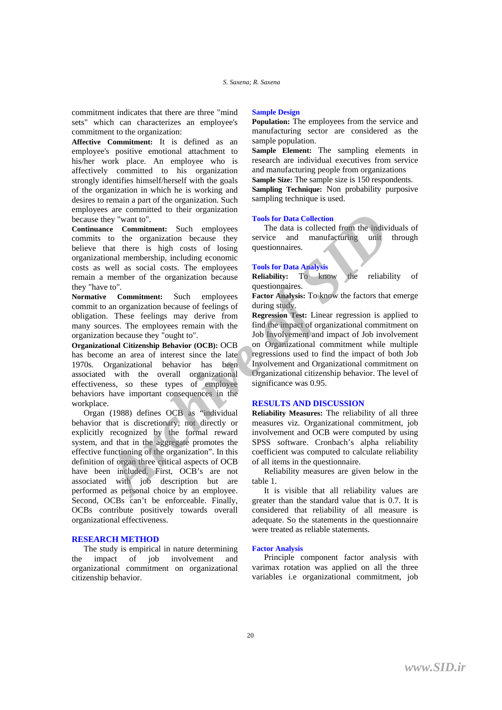commitment indicates that there are three "mind sets" which can characterizes an employee's commitment to the organization:

**Affective Commitment:** It is defined as an employee's positive emotional attachment to his/her work place. An employee who is affectively committed to his organization strongly identifies himself/herself with the goals of the organization in which he is working and desires to remain a part of the organization. Such employees are committed to their organization because they "want to".

**Continuance Commitment:** Such employees commits to the organization because they believe that there is high costs of losing organizational membership, including economic costs as well as social costs. The employees remain a member of the organization because they "have to".

**Normative Commitment:** Such employees commit to an organization because of feelings of obligation. These feelings may derive from many sources. The employees remain with the organization because they "ought to".

**Organizational Citizenship Behavior (OCB):** OCB has become an area of interest since the late 1970s. Organizational behavior has been associated with the overall organizational effectiveness, so these types of employee behaviors have important consequences in the workplace.

Organ (1988) defines OCB as "individual behavior that is discretionary, not directly or explicitly recognized by the formal reward system, and that in the aggregate promotes the effective functioning of the organization". In this definition of organ three critical aspects of OCB have been included. First, OCB's are not associated with job description but are performed as personal choice by an employee. Second, OCBs can't be enforceable. Finally, OCBs contribute positively towards overall organizational effectiveness. *Are commitment*: Such employees The data is ollelection<br>they "want to".<br>Tools for Data collection<br>they "want to".<br>The meaning commitment: Such employees The data is ollelected from the<br>strong and member of the organizatio

# **RESEARCH METHOD**

The study is empirical in nature determining the impact of job involvement and organizational commitment on organizational citizenship behavior.

# **Sample Design**

**Population:** The employees from the service and manufacturing sector are considered as the sample population.

**Sample Element:** The sampling elements in research are individual executives from service and manufacturing people from organizations **Sample Size:** The sample size is 150 respondents. **Sampling Technique:** Non probability purposive sampling technique is used.

# **Tools for Data Collection**

The data is collected from the individuals of service and manufacturing unit through questionnaires.

#### **Tools for Data Analysis**

**Reliability:** To know the reliability of questionnaires.

**Factor Analysis:** To know the factors that emerge during study.

**Regression Test:** Linear regression is applied to find the impact of organizational commitment on Job Involvement and impact of Job involvement on Organizational commitment while multiple regressions used to find the impact of both Job Involvement and Organizational commitment on Organizational citizenship behavior. The level of significance was 0.95.

# **RESULTS AND DISCUSSION**

**Reliability Measures:** The reliability of all three measures viz. Organizational commitment, job involvement and OCB were computed by using SPSS software. Cronbach's alpha reliability coefficient was computed to calculate reliability of all items in the questionnaire.

Reliability measures are given below in the table 1.

It is visible that all reliability values are greater than the standard value that is 0.7. It is considered that reliability of all measure is adequate. So the statements in the questionnaire were treated as reliable statements.

#### **Factor Analysis**

Principle component factor analysis with varimax rotation was applied on all the three variables i.e organizational commitment, job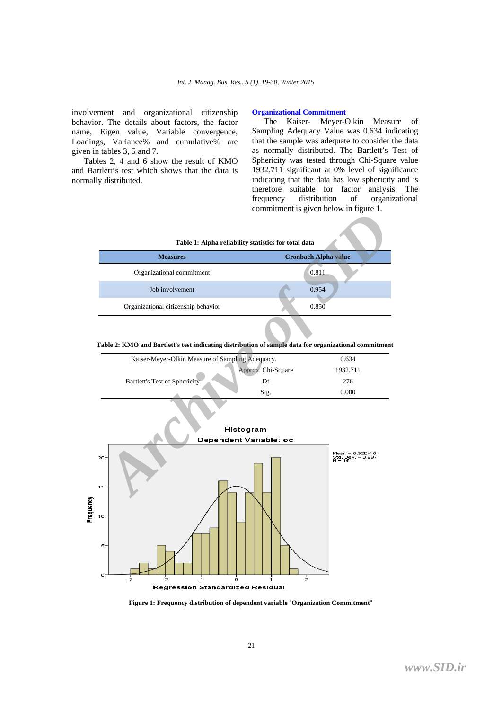involvement and organizational citizenship behavior. The details about factors, the factor name, Eigen value, Variable convergence, Loadings, Variance% and cumulative% are given in tables 3, 5 and 7.

Tables 2, 4 and 6 show the result of KMO and Bartlett's test which shows that the data is normally distributed.

#### **Organizational Commitment**

The Kaiser- Meyer-Olkin Measure of Sampling Adequacy Value was 0.634 indicating that the sample was adequate to consider the data as normally distributed. The Bartlett's Test of Sphericity was tested through Chi-Square value 1932.711 significant at 0% level of significance indicating that the data has low sphericity and is therefore suitable for factor analysis. The frequency distribution of organizational commitment is given below in figure 1.

| Table 1: Alpha reliability statistics for total data |                             |  |  |  |  |  |  |
|------------------------------------------------------|-----------------------------|--|--|--|--|--|--|
| <b>Measures</b>                                      | <b>Cronbach Alpha value</b> |  |  |  |  |  |  |
| Organizational commitment                            | 0.811                       |  |  |  |  |  |  |
| Job involvement                                      | 0.954                       |  |  |  |  |  |  |
| Organizational citizenship behavior                  | 0.850                       |  |  |  |  |  |  |

**Table 2: KMO and Bartlett's test indicating distribution of sample data for organizational commitment** 

| Kaiser-Meyer-Olkin Measure of Sampling Adequacy. |                    | 0.634    |
|--------------------------------------------------|--------------------|----------|
|                                                  | Approx. Chi-Square | 1932.711 |
| Bartlett's Test of Sphericity                    |                    | 276      |
|                                                  | Sig.               | 0.000    |



**Figure 1: Frequency distribution of dependent variable** "**Organization Commitment**"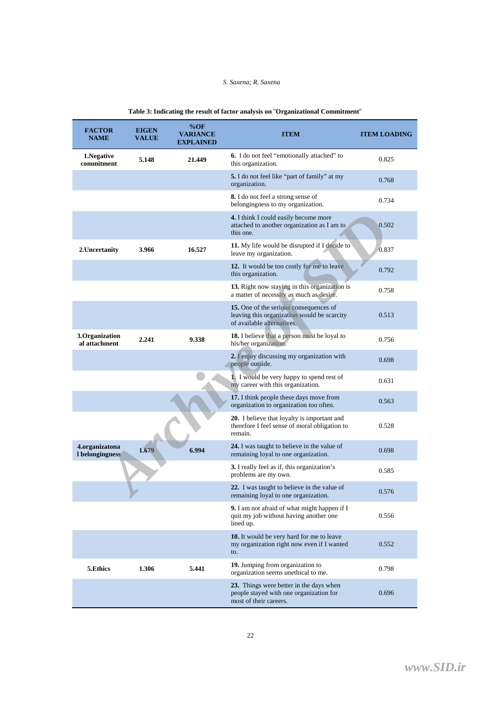# *S. Saxena; R. Saxena*

| <b>FACTOR</b><br><b>NAME</b>      | <b>EIGEN</b><br><b>VALUE</b> | %OF<br><b>VARIANCE</b><br><b>EXPLAINED</b> | <b>ITEM</b>                                                                                                         | <b>ITEM LOADING</b> |
|-----------------------------------|------------------------------|--------------------------------------------|---------------------------------------------------------------------------------------------------------------------|---------------------|
| 1. Negative<br>commitment         | 5.148                        | 21.449                                     | 6. I do not feel "emotionally attached" to<br>this organization.                                                    | 0.825               |
|                                   |                              |                                            | 5. I do not feel like "part of family" at my<br>organization.                                                       | 0.768               |
|                                   |                              |                                            | <b>8.</b> I do not feel a strong sense of<br>belongingness to my organization.                                      | 0.734               |
|                                   |                              |                                            | 4. I think I could easily become more<br>attached to another organization as I am to<br>this one.                   | 0.502               |
| 2. Uncertanity                    | 3.966                        | 16.527                                     | 11. My life would be disrupted if I decide to<br>leave my organization.                                             | 0.837               |
|                                   |                              |                                            | 12. It would be too costly for me to leave<br>this organization.                                                    | 0.792               |
|                                   |                              |                                            | 13. Right now staying in this organization is<br>a matter of necessity as much as desire.                           | 0.758               |
|                                   |                              |                                            | 15. One of the serious consequences of<br>leaving this organization would be scarcity<br>of available alternatives. | 0.513               |
| 3.Organization<br>al attachment   | 2.241                        | 9.338                                      | 18. I believe that a person must be loyal to<br>his/her organization.                                               | 0.756               |
|                                   |                              |                                            | 2. I enjoy discussing my organization with<br>people outside.                                                       | 0.698               |
|                                   |                              |                                            | 1. I would be very happy to spend rest of<br>my career with this organization.                                      | 0.631               |
|                                   |                              |                                            | 17. I think people these days move from<br>organization to organization too often.                                  | 0.563               |
|                                   |                              |                                            | 20. I believe that loyalty is important and<br>therefore I feel sense of moral obligation to<br>remain.             | 0.528               |
| 4.organizatona<br>I belongingness | 1.679                        | 6.994                                      | 24. I was taught to believe in the value of<br>remaining loyal to one organization.                                 | 0.698               |
|                                   |                              |                                            | <b>3.</b> I really feel as if, this organization's<br>problems are my own.                                          | 0.585               |
|                                   |                              |                                            | 22. I was taught to believe in the value of<br>remaining loyal to one organization.                                 | 0.576               |
|                                   |                              |                                            | <b>9.</b> I am not afraid of what might happen if I<br>quit my job without having another one<br>lined up.          | 0.556               |
|                                   |                              |                                            | 10. It would be very hard for me to leave<br>my organization right now even if I wanted<br>to.                      | 0.552               |
| 5.Ethics                          | 1.306                        | 5.441                                      | 19. Jumping from organization to<br>organization seems unethical to me.                                             | 0.798               |
|                                   |                              |                                            | 23. Things were better in the days when<br>people stayed with one organization for<br>most of their careers.        | 0.696               |

# **Table 3: Indicating the result of factor analysis on** "**Organizational Commitment**"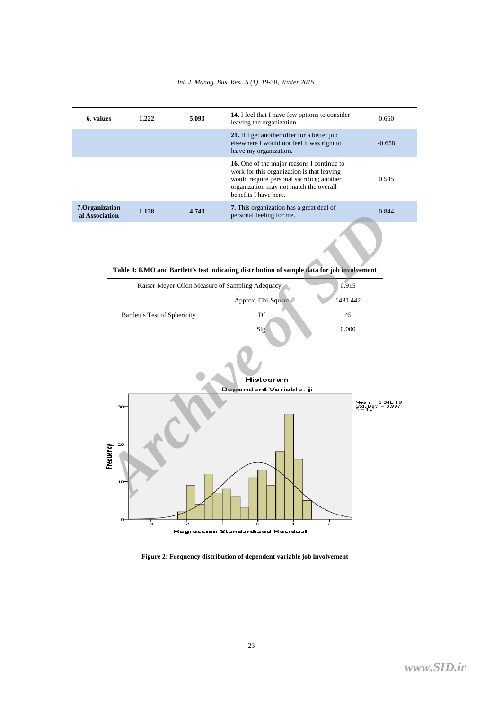# *Int. J. Manag. Bus. Res., 5 (1), 19-30, Winter 2015*

| 6. values                         | 1.222 | 5.093 | <b>14.</b> I feel that I have few options to consider<br>leaving the organization.                                                                                                                       | 0.660    |
|-----------------------------------|-------|-------|----------------------------------------------------------------------------------------------------------------------------------------------------------------------------------------------------------|----------|
|                                   |       |       | 21. If I get another offer for a better job<br>elsewhere I would not feel it was right to<br>leave my organization.                                                                                      | $-0.658$ |
|                                   |       |       | 16. One of the major reasons I continue to<br>work for this organization is that leaving<br>would require personal sacrifice; another<br>organization may not match the overall<br>benefits I have here. | 0.545    |
| 7. Organization<br>al Association | 1.138 | 4.743 | <b>7.</b> This organization has a great deal of<br>personal feeling for me.                                                                                                                              | 0.844    |

**Table 4: KMO and Bartlett's test indicating distribution of sample data for job involvement** 

| Kaiser-Meyer-Olkin Measure of Sampling Adequacy. |                    | 0.915    |
|--------------------------------------------------|--------------------|----------|
|                                                  | Approx. Chi-Square | 1481.442 |
| Bartlett's Test of Sphericity                    | Df                 | 45       |
|                                                  | Sig.               | 0.000    |
|                                                  |                    |          |





**Figure 2: Frequency distribution of dependent variable job involvement**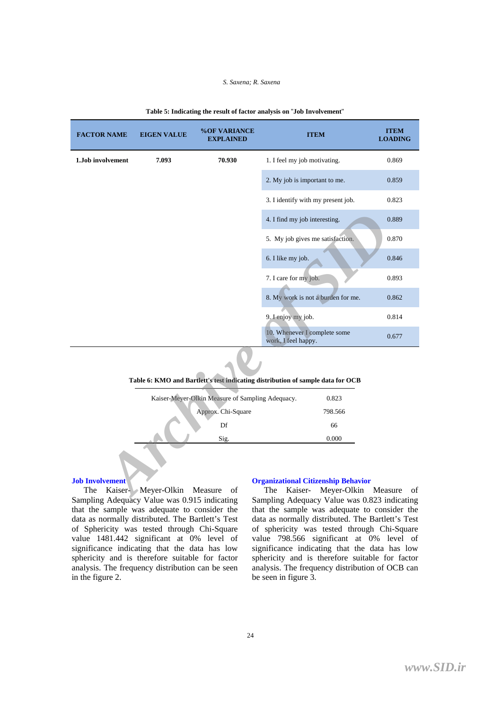#### *S. Saxena; R. Saxena*

| <b>FACTOR NAME</b>                                    | <b>EIGEN VALUE</b>                                                                                                                                                                                                                                                                                                                                                   | %OF VARIANCE<br><b>EXPLAINED</b>                 | <b>ITEM</b>                                                                                                                                                                                                                                       | <b>ITEM</b><br><b>LOADING</b> |
|-------------------------------------------------------|----------------------------------------------------------------------------------------------------------------------------------------------------------------------------------------------------------------------------------------------------------------------------------------------------------------------------------------------------------------------|--------------------------------------------------|---------------------------------------------------------------------------------------------------------------------------------------------------------------------------------------------------------------------------------------------------|-------------------------------|
| 1. Job involvement                                    | 7.093                                                                                                                                                                                                                                                                                                                                                                | 70.930                                           | 1. I feel my job motivating.                                                                                                                                                                                                                      | 0.869                         |
|                                                       |                                                                                                                                                                                                                                                                                                                                                                      |                                                  | 2. My job is important to me.                                                                                                                                                                                                                     | 0.859                         |
|                                                       |                                                                                                                                                                                                                                                                                                                                                                      |                                                  | 3. I identify with my present job.                                                                                                                                                                                                                | 0.823                         |
|                                                       |                                                                                                                                                                                                                                                                                                                                                                      |                                                  | 4. I find my job interesting.                                                                                                                                                                                                                     | 0.889                         |
|                                                       |                                                                                                                                                                                                                                                                                                                                                                      |                                                  | 5. My job gives me satisfaction.                                                                                                                                                                                                                  | 0.870                         |
|                                                       |                                                                                                                                                                                                                                                                                                                                                                      |                                                  | 6. I like my job.                                                                                                                                                                                                                                 | 0.846                         |
|                                                       |                                                                                                                                                                                                                                                                                                                                                                      |                                                  | 7. I care for my job.                                                                                                                                                                                                                             | 0.893                         |
|                                                       |                                                                                                                                                                                                                                                                                                                                                                      |                                                  | 8. My work is not a burden for me.                                                                                                                                                                                                                | 0.862                         |
|                                                       |                                                                                                                                                                                                                                                                                                                                                                      |                                                  | 9. Lenjoy my job.                                                                                                                                                                                                                                 | 0.814                         |
|                                                       |                                                                                                                                                                                                                                                                                                                                                                      |                                                  | 10. Whenever I complete some<br>work, I feel happy.                                                                                                                                                                                               | 0.677                         |
|                                                       |                                                                                                                                                                                                                                                                                                                                                                      |                                                  | Table 6: KMO and Bartlett's test indicating distribution of sample data for OCB                                                                                                                                                                   |                               |
|                                                       |                                                                                                                                                                                                                                                                                                                                                                      | Kaiser-Meyer-Olkin Measure of Sampling Adequacy. | 0.823                                                                                                                                                                                                                                             |                               |
|                                                       |                                                                                                                                                                                                                                                                                                                                                                      | Approx. Chi-Square                               | 798.566                                                                                                                                                                                                                                           |                               |
|                                                       |                                                                                                                                                                                                                                                                                                                                                                      | Df                                               | 66                                                                                                                                                                                                                                                |                               |
| <b>Job Involvement</b><br>$C_1, \ldots, C_n$ 1, $A_1$ | The Kaiser-Meyer-Olkin Measure<br>$\mathbf{V}$ $\mathbf{V}$ $\mathbf{V}$ $\mathbf{V}$ $\mathbf{V}$ $\mathbf{V}$ $\mathbf{V}$ $\mathbf{V}$ $\mathbf{V}$ $\mathbf{V}$ $\mathbf{V}$ $\mathbf{V}$ $\mathbf{V}$ $\mathbf{V}$ $\mathbf{V}$ $\mathbf{V}$ $\mathbf{V}$ $\mathbf{V}$ $\mathbf{V}$ $\mathbf{V}$ $\mathbf{V}$ $\mathbf{V}$ $\mathbf{V}$ $\mathbf{V}$ $\mathbf{$ | Sig.<br>of                                       | 0.000<br><b>Organizational Citizenship Behavior</b><br>The Kaiser- Meyer-Olkin Measure of<br>$\mathbf{G}$ and $\mathbf{H}$ and $\mathbf{H}$ and $\mathbf{H}$ and $\mathbf{H}$ and $\mathbf{H}$ and $\mathbf{G}$ and $\mathbf{H}$ and $\mathbf{H}$ |                               |

#### **Table 5: Indicating the result of factor analysis on** "**Job Involvement**"

|  |  | Table 6: KMO and Bartlett's test indicating distribution of sample data for OCB |  |
|--|--|---------------------------------------------------------------------------------|--|
|--|--|---------------------------------------------------------------------------------|--|

| Kaiser-Meyer-Olkin Measure of Sampling Adequacy. | 0.823   |
|--------------------------------------------------|---------|
| Approx. Chi-Square                               | 798.566 |
| Df                                               | 66      |
| Sig.                                             | 0.000   |
|                                                  |         |

#### **Job Involvement**

The Kaiser- Meyer-Olkin Measure of Sampling Adequacy Value was 0.915 indicating that the sample was adequate to consider the data as normally distributed. The Bartlett's Test of Sphericity was tested through Chi-Square value 1481.442 significant at 0% level of significance indicating that the data has low sphericity and is therefore suitable for factor analysis. The frequency distribution can be seen in the figure 2.

# **Organizational Citizenship Behavior**

The Kaiser- Meyer-Olkin Measure of Sampling Adequacy Value was 0.823 indicating that the sample was adequate to consider the data as normally distributed. The Bartlett's Test of sphericity was tested through Chi-Square value 798.566 significant at 0% level of significance indicating that the data has low sphericity and is therefore suitable for factor analysis. The frequency distribution of OCB can be seen in figure 3.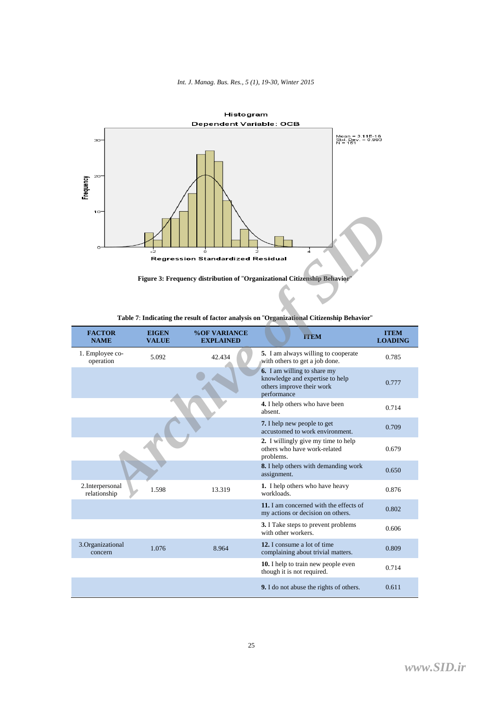





| 10<br>n                          |                              | Regression Standardized Residual        | Figure 3: Frequency distribution of "Organizational Citizenship Behavior"<br>Table 7: Indicating the result of factor analysis on "Organizational Citizenship Behavior" |                               |
|----------------------------------|------------------------------|-----------------------------------------|-------------------------------------------------------------------------------------------------------------------------------------------------------------------------|-------------------------------|
| <b>FACTOR</b><br><b>NAME</b>     | <b>EIGEN</b><br><b>VALUE</b> | <b>%OF VARIANCE</b><br><b>EXPLAINED</b> | <b>TTEM</b>                                                                                                                                                             | <b>ITEM</b><br><b>LOADING</b> |
| 1. Employee co-<br>operation     | 5.092                        | 42.434                                  | 5. I am always willing to cooperate<br>with others to get a job done.                                                                                                   | 0.785                         |
|                                  |                              |                                         | 6. I am willing to share my<br>knowledge and expertise to help<br>others improve their work<br>performance                                                              | 0.777                         |
|                                  |                              |                                         | 4. I help others who have been<br>absent.                                                                                                                               | 0.714                         |
|                                  |                              |                                         | 7. I help new people to get<br>accustomed to work environment.                                                                                                          | 0.709                         |
|                                  |                              |                                         | 2. I willingly give my time to help<br>others who have work-related<br>problems.                                                                                        | 0.679                         |
|                                  |                              |                                         | 8. I help others with demanding work<br>assignment.                                                                                                                     | 0.650                         |
| 2. Interpersonal<br>relationship | 1.598                        | 13.319                                  | 1. I help others who have heavy<br>workloads.                                                                                                                           | 0.876                         |
|                                  |                              |                                         | 11. I am concerned with the effects of<br>my actions or decision on others.                                                                                             | 0.802                         |
|                                  |                              |                                         | <b>3.</b> I Take steps to prevent problems<br>with other workers.                                                                                                       | 0.606                         |
| 3.Organizational<br>concern      | 1.076                        | 8.964                                   | 12. I consume a lot of time<br>complaining about trivial matters.                                                                                                       | 0.809                         |
|                                  |                              |                                         | 10. I help to train new people even<br>though it is not required.                                                                                                       | 0.714                         |
|                                  |                              |                                         | 9. I do not abuse the rights of others.                                                                                                                                 | 0.611                         |

| Table 7: Indicating the result of factor analysis on "Organizational Citizenship Behavior |  |
|-------------------------------------------------------------------------------------------|--|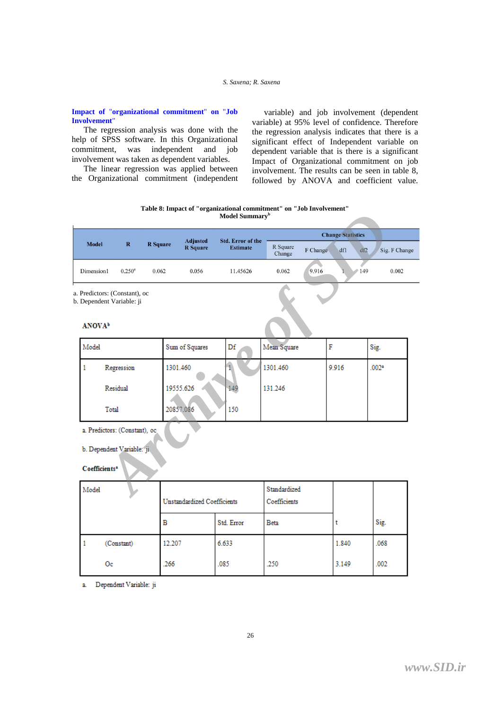# **Impact of** "**organizational commitment**" **on** "**Job Involvement**"

The regression analysis was done with the help of SPSS software. In this Organizational commitment, was independent and job involvement was taken as dependent variables.

The linear regression was applied between the Organizational commitment (independent

variable) and job involvement (dependent variable) at 95% level of confidence. Therefore the regression analysis indicates that there is a significant effect of Independent variable on dependent variable that is there is a significant Impact of Organizational commitment on job involvement. The results can be seen in table 8, followed by ANOVA and coefficient value.

**Table 8: Impact of "organizational commitment" on "Job Involvement" Model Summary<sup>b</sup>**

|                                                            |                             |             |                 |     |                                    | Model Summary <sup>b</sup> |                    |                          |                   |                      |  |
|------------------------------------------------------------|-----------------------------|-------------|-----------------|-----|------------------------------------|----------------------------|--------------------|--------------------------|-------------------|----------------------|--|
|                                                            |                             |             |                 |     |                                    | <b>Std. Error of the</b>   |                    | <b>Change Statistics</b> |                   |                      |  |
| <b>Model</b>                                               |                             | $\mathbf R$ | <b>R</b> Square |     | <b>Adjusted</b><br><b>R</b> Square | <b>Estimate</b>            | R Square<br>Change | F Change                 | dfl               | df2<br>Sig. F Change |  |
|                                                            | Dimension1                  | $0.250^a$   | 0.062           |     | 0.056                              | 11.45626                   | 0.062              | 9.916                    |                   | 149<br>0.002         |  |
| a. Predictors: (Constant), oc<br>b. Dependent Variable: ji |                             |             |                 |     |                                    |                            |                    |                          |                   |                      |  |
|                                                            | <b>ANOVA</b> <sup>b</sup>   |             |                 |     |                                    |                            |                    |                          |                   |                      |  |
|                                                            | Model                       |             |                 |     | Sum of Squares                     | Df                         | Mean Square        | F                        |                   | Sig.                 |  |
|                                                            | 1<br>Regression<br>Residual |             | 1301.460        |     |                                    | 1301.460                   |                    | 9.916                    | .002 <sup>a</sup> |                      |  |
|                                                            |                             |             | 19555.626       |     | 149                                | 131.246                    |                    |                          |                   |                      |  |
| 20857.086<br>Total                                         |                             |             |                 | 150 |                                    |                            |                    |                          |                   |                      |  |
| a. Predictors: (Constant), oc                              |                             |             |                 |     |                                    |                            |                    |                          |                   |                      |  |
| b. Dependent Variable: ji                                  |                             |             |                 |     |                                    |                            |                    |                          |                   |                      |  |
|                                                            | Coefficients <sup>a</sup>   |             |                 |     |                                    |                            |                    |                          |                   |                      |  |
|                                                            | Model                       |             |                 |     |                                    |                            | Standardized       |                          |                   |                      |  |

| Model |            | Sum of Squares | Df  | Mean Square |       | Sig.  |
|-------|------------|----------------|-----|-------------|-------|-------|
|       | Regression | 1301.460       |     | 1301.460    | 9.916 | .002a |
|       | Residual   | 19555.626      | 149 | 131.246     |       |       |
|       | Total      | 20857.086      | 150 |             |       |       |

| Model |            | Unstandardized Coefficients |            | Standardized<br>Coefficients |       |      |
|-------|------------|-----------------------------|------------|------------------------------|-------|------|
|       |            | в                           | Std. Error | <b>Beta</b>                  |       | Sig. |
|       | (Constant) | 12.207                      | 6.633      |                              | 1.840 | .068 |
|       | Oс         | .266                        | .085       | .250                         | 3.149 | .002 |

Dependent Variable: ji  $\overline{a}$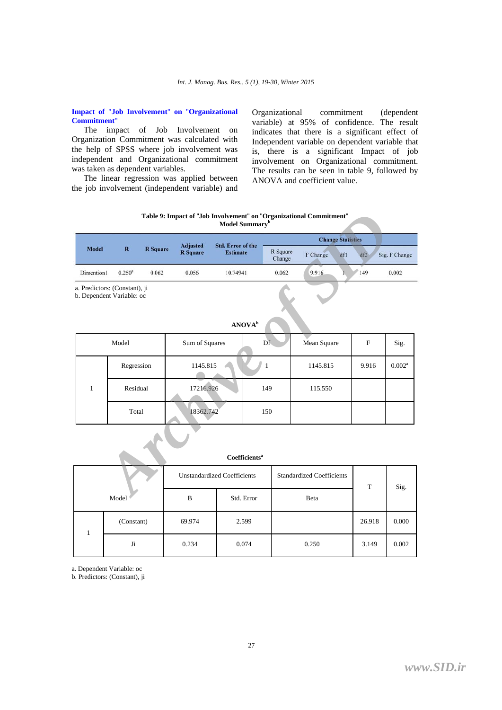# **Impact of** "**Job Involvement**" **on** "**Organizational Commitment**"

The impact of Job Involvement on Organization Commitment was calculated with the help of SPSS where job involvement was independent and Organizational commitment was taken as dependent variables.

The linear regression was applied between the job involvement (independent variable) and Organizational commitment (dependent variable) at 95% of confidence. The result indicates that there is a significant effect of Independent variable on dependent variable that is, there is a significant Impact of job involvement on Organizational commitment. The results can be seen in table 9, followed by ANOVA and coefficient value.

**Table 9: Impact of** "**Job Involvement**" **on** "**Organizational Commitment**" **Model Summary<sup>b</sup>**

| <b>Model</b> |                 |                 |                                    |                                             |                    | <b>Change Statistics</b> |     |     |               |
|--------------|-----------------|-----------------|------------------------------------|---------------------------------------------|--------------------|--------------------------|-----|-----|---------------|
|              | R               | <b>R</b> Square | <b>Adjusted</b><br><b>R</b> Square | <b>Std. Error of the</b><br><b>Estimate</b> | R Square<br>Change | F Change                 | dfl | df2 | Sig. F Change |
| Dimention1   | $0.250^{\rm a}$ | 0.062           | 0.056                              | 10.74941                                    | 0.062              | 9.916                    |     | 149 | 0.002         |

|                                                            |                      |                 |                                    |                                             | Model Summary <sup>b</sup> |                          | Table 9: Impact of "Job Involvement" on "Organizational Commitment" |             |                 |  |  |
|------------------------------------------------------------|----------------------|-----------------|------------------------------------|---------------------------------------------|----------------------------|--------------------------|---------------------------------------------------------------------|-------------|-----------------|--|--|
|                                                            |                      |                 |                                    |                                             |                            | <b>Change Statistics</b> |                                                                     |             |                 |  |  |
| Model                                                      | $\mathbf R$          | <b>R</b> Square | <b>Adjusted</b><br><b>R</b> Square | <b>Std. Error of the</b><br><b>Estimate</b> |                            | R Square<br>Change       | F Change<br>dfl                                                     | df2         | Sig. F Change   |  |  |
| Dimention1                                                 | $0.250$ <sup>a</sup> | 0.062           | 0.056                              | 10.74941                                    |                            | 0.062                    | 9.916                                                               | 149         | 0.002           |  |  |
| a. Predictors: (Constant), ji<br>b. Dependent Variable: oc |                      |                 |                                    |                                             |                            |                          |                                                                     |             |                 |  |  |
|                                                            |                      |                 |                                    |                                             | ANOVA <sup>b</sup>         |                          |                                                                     |             |                 |  |  |
| Model                                                      |                      |                 | Sum of Squares                     |                                             | Df                         |                          | Mean Square                                                         | $\mathbf F$ | Sig.            |  |  |
|                                                            | Regression           |                 | 1145.815                           |                                             | $\mathbf{1}$               |                          | 1145.815                                                            | 9.916       | $0.002^{\rm a}$ |  |  |
| $\mathbf{1}$                                               | Residual             |                 | 17216.926                          |                                             | 149                        |                          | 115.550                                                             |             |                 |  |  |
|                                                            | Total                |                 | 18362.742                          |                                             |                            | 150                      |                                                                     |             |                 |  |  |
|                                                            |                      |                 |                                    |                                             |                            |                          |                                                                     |             |                 |  |  |
|                                                            |                      |                 |                                    |                                             | Coefficients <sup>a</sup>  |                          |                                                                     |             |                 |  |  |
|                                                            |                      |                 | <b>Unstandardized Coefficients</b> |                                             |                            |                          | <b>Standardized Coefficients</b>                                    | T           | Sig.            |  |  |
|                                                            | Model                |                 | R<br>$Std$ Frror                   |                                             |                            | Reta                     |                                                                     |             |                 |  |  |

|       |            |        | Coefficients <sup>a</sup>          |                                  |        |       |
|-------|------------|--------|------------------------------------|----------------------------------|--------|-------|
| Model |            |        | <b>Unstandardized Coefficients</b> | <b>Standardized Coefficients</b> | T      | Sig.  |
|       |            | B      | Std. Error                         | Beta                             |        |       |
|       | (Constant) | 69.974 | 2.599                              |                                  | 26.918 | 0.000 |
|       | Ji         | 0.234  | 0.074                              | 0.250                            | 3.149  | 0.002 |

a. Dependent Variable: oc

b. Predictors: (Constant), ji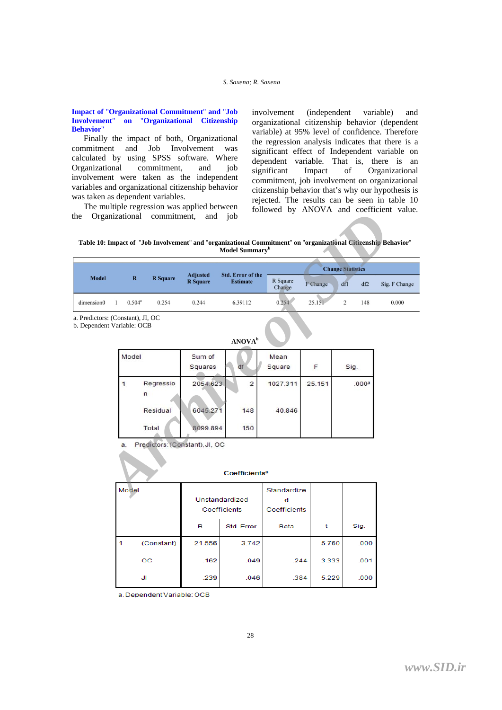#### *S. Saxena; R. Saxena*

# **Impact of** "**Organizational Commitment**" **and** "**Job Involvement**" **on** "**Organizational Citizenship Behavior**"

Finally the impact of both, Organizational commitment and Job Involvement was calculated by using SPSS software. Where Organizational commitment, and job involvement were taken as the independent variables and organizational citizenship behavior was taken as dependent variables.

The multiple regression was applied between the Organizational commitment, and job involvement (independent variable) and organizational citizenship behavior (dependent variable) at 95% level of confidence. Therefore the regression analysis indicates that there is a significant effect of Independent variable on dependent variable. That is, there is an significant Impact of Organizational commitment, job involvement on organizational citizenship behavior that's why our hypothesis is rejected. The results can be seen in table 10 followed by ANOVA and coefficient value.

**Table 10: Impact of** "**Job Involvement**" **and** "**organizational Commitment**" **on** "**organizational Citizenship Behavior**" **Model Summary<sup>b</sup>**

| the                                                             | Organizational | commitment,                | and                                | job<br>Table 10: Impact of "Job Involvement" and "organizational Commitment" on "organizational Citizenship Behavior"<br>Model Summary <sup>b</sup> |                    |          |                          | followed by Arrow and coefficient value. |
|-----------------------------------------------------------------|----------------|----------------------------|------------------------------------|-----------------------------------------------------------------------------------------------------------------------------------------------------|--------------------|----------|--------------------------|------------------------------------------|
|                                                                 |                |                            |                                    |                                                                                                                                                     |                    |          |                          |                                          |
|                                                                 |                |                            |                                    |                                                                                                                                                     |                    |          | <b>Change Statistics</b> |                                          |
| <b>Model</b>                                                    | $\mathbf R$    | <b>R</b> Square            | <b>Adjusted</b><br><b>R</b> Square | <b>Std. Error of the</b><br><b>Estimate</b>                                                                                                         | R Square<br>Change | F Change | df1<br>df2               | Sig. F Change                            |
| dimension0                                                      | $0.504^a$<br>1 | 0.254                      | 0.244                              | 6.39112                                                                                                                                             | 0.254              | 25.151   | $\overline{2}$<br>148    | 0.000                                    |
| a. Predictors: (Constant), JI, OC<br>b. Dependent Variable: OCB |                |                            |                                    | ANOVA <sup>b</sup>                                                                                                                                  |                    |          |                          |                                          |
|                                                                 | Model          |                            | Sum of<br>Squares                  | df                                                                                                                                                  | Mean<br>Square     | F        | Sig.                     |                                          |
|                                                                 | $\overline{1}$ | Regressio<br>n<br>Residual | 2054.623<br>6045.271               | $\overline{2}$<br>148                                                                                                                               | 1027.311<br>40.846 | 25.151   | .000 <sup>a</sup>        |                                          |
|                                                                 |                | Total                      | 8099.894                           | 150                                                                                                                                                 |                    |          |                          |                                          |
|                                                                 | a.             |                            | Predictors: (Constant), JI, OC     | <b>Coefficients<sup>a</sup></b>                                                                                                                     |                    |          |                          |                                          |
|                                                                 | Model          |                            |                                    | Linetandardized                                                                                                                                     | Standardize        |          |                          |                                          |

|       |            |                                | <b>Coefficients<sup>a</sup></b> |                             |       |      |
|-------|------------|--------------------------------|---------------------------------|-----------------------------|-------|------|
| Model |            | Unstandardized<br>Coefficients |                                 | Standardize<br>Coefficients |       |      |
|       |            | в                              | Std. Error                      | <b>Beta</b>                 |       | Sig. |
| 1     | (Constant) | 21.556                         | 3.742                           |                             | 5.760 | .000 |
|       | oс         | .162                           | .049                            | .244                        | 3.333 | .001 |
|       | JI         | .239                           | .046                            | .384                        | 5.229 | .000 |

a. Dependent Variable: OCB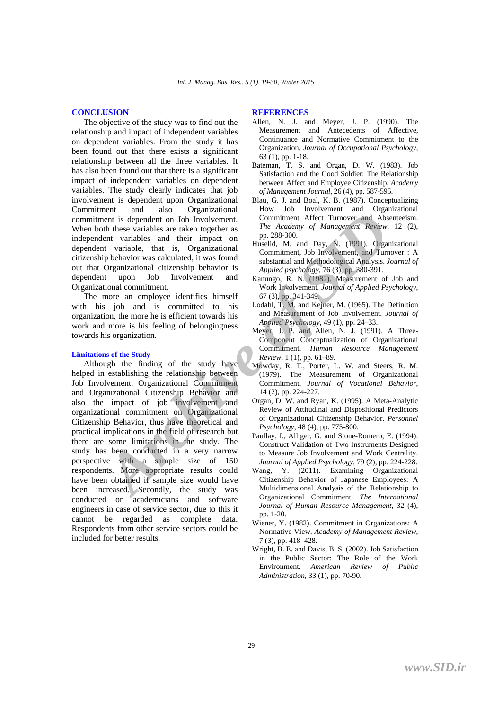# **CONCLUSION**

The objective of the study was to find out the relationship and impact of independent variables on dependent variables. From the study it has been found out that there exists a significant relationship between all the three variables. It has also been found out that there is a significant impact of independent variables on dependent variables. The study clearly indicates that job involvement is dependent upon Organizational Commitment and also Organizational commitment is dependent on Job Involvement. When both these variables are taken together as independent variables and their impact on dependent variable, that is, Organizational citizenship behavior was calculated, it was found out that Organizational citizenship behavior is dependent upon Job Involvement and Organizational commitment.

The more an employee identifies himself with his job and is committed to his organization, the more he is efficient towards his work and more is his feeling of belongingness towards his organization.

#### **Limitations of the Study**

Although the finding of the study have helped in establishing the relationship between Job Involvement, Organizational Commitment and Organizational Citizenship Behavior and also the impact of job involvement and organizational commitment on Organizational Citizenship Behavior, thus have theoretical and practical implications in the field of research but there are some limitations in the study. The study has been conducted in a very narrow perspective with a sample size of 150 respondents. More appropriate results could have been obtained if sample size would have been increased. Secondly, the study was conducted on academicians and software engineers in case of service sector, due to this it cannot be regarded as complete data. Respondents from other service sectors could be included for better results. From these variables are taken together as<br>
then the secured as dependent on Job Involvement.<br>
Lent tariables and their impact on<br>
then variables and their impact on<br>
then variables, that is, Organizational Hustild, M. and

#### **REFERENCES**

- Allen, N. J. and Meyer, J. P. (1990). The Measurement and Antecedents of Affective, Continuance and Normative Commitment to the Organization. *Journal of Occupational Psychology*, 63 (1), pp. 1-18.
- Bateman, T. S. and Organ, D. W. (1983). Job Satisfaction and the Good Soldier: The Relationship between Affect and Employee Citizenship. *Academy of Management Journal*, 26 (4), pp. 587-595.
- Blau, G. J. and Boal, K. B. (1987). Conceptualizing How Job Involvement and Organizational Commitment Affect Turnover and Absenteeism. *The Academy of Management Review*, 12 (2), pp. 288-300.
- Huselid, M. and Day, N. (1991). Organizational Commitment, Job Involvement, and Turnover : A substantial and Methodological Analysis. *Journal of Applied psychology*, 76 (3), pp. 380-391.
- Kanungo, R. N. (1982). Measurement of Job and Work Involvement. *Journal of Applied Psychology*, 67 (3), pp. 341-349.
- Lodahl, T. M. and Kejner, M. (1965). The Definition and Measurement of Job Involvement. *Journal of Applied Psychology*, 49 (1), pp. 24–33.
- Meyer, J. P. and Allen, N. J. (1991). A Three-Component Conceptualization of Organizational Commitment. *Human Resource Management Review*, 1 (1), pp. 61–89.
- Mowday, R. T., Porter, L. W. and Steers, R. M. (1979). The Measurement of Organizational Commitment. *Journal of Vocational Behavior*, 14 (2), pp. 224-227.
- Organ, D. W. and Ryan, K. (1995). A Meta-Analytic Review of Attitudinal and Dispositional Predictors of Organizational Citizenship Behavior. *Personnel Psychology*, 48 (4), pp. 775-800.
- Paullay, I., Alliger, G. and Stone-Romero, E. (1994). Construct Validation of Two Instruments Designed to Measure Job Involvement and Work Centrality. *Journal of Applied Psychology*, 79 (2), pp. 224-228.
- Wang, Y. (2011). Examining Organizational Citizenship Behavior of Japanese Employees: A Multidimensional Analysis of the Relationship to Organizational Commitment. *The International Journal of Human Resource Management*, 32 (4), pp. 1-20.
- Wiener, Y. (1982). Commitment in Organizations: A Normative View. *Academy of Management Review*, 7 (3), pp. 418–428.
- Wright, B. E. and Davis, B. S. (2002). Job Satisfaction in the Public Sector: The Role of the Work Environment. *American Review of Public Administration*, 33 (1), pp. 70-90.